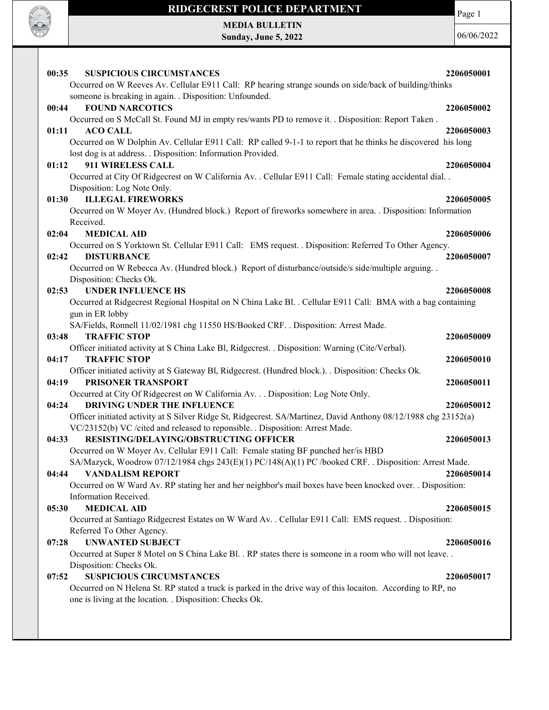

Page 1

MEDIA BULLETIN Sunday, June 5, 2022

| <b>SUSPICIOUS CIRCUMSTANCES</b><br>00:35                                                                                      | 2206050001 |
|-------------------------------------------------------------------------------------------------------------------------------|------------|
| Occurred on W Reeves Av. Cellular E911 Call: RP hearing strange sounds on side/back of building/thinks                        |            |
| someone is breaking in again. . Disposition: Unfounded.                                                                       |            |
| 00:44<br><b>FOUND NARCOTICS</b>                                                                                               | 2206050002 |
| Occurred on S McCall St. Found MJ in empty res/wants PD to remove it. . Disposition: Report Taken.                            |            |
| 01:11<br><b>ACO CALL</b>                                                                                                      | 2206050003 |
| Occurred on W Dolphin Av. Cellular E911 Call: RP called 9-1-1 to report that he thinks he discovered his long                 |            |
| lost dog is at address. . Disposition: Information Provided.                                                                  |            |
| 01:12<br>911 WIRELESS CALL                                                                                                    | 2206050004 |
| Occurred at City Of Ridgecrest on W California Av. . Cellular E911 Call: Female stating accidental dial. .                    |            |
| Disposition: Log Note Only.                                                                                                   |            |
| <b>ILLEGAL FIREWORKS</b><br>01:30                                                                                             | 2206050005 |
| Occurred on W Moyer Av. (Hundred block.) Report of fireworks somewhere in area. . Disposition: Information                    |            |
| Received.                                                                                                                     |            |
| <b>MEDICAL AID</b><br>02:04                                                                                                   | 2206050006 |
| Occurred on S Yorktown St. Cellular E911 Call: EMS request. . Disposition: Referred To Other Agency.                          |            |
| <b>DISTURBANCE</b><br>02:42                                                                                                   | 2206050007 |
| Occurred on W Rebecca Av. (Hundred block.) Report of disturbance/outside/s side/multiple arguing. .                           |            |
| Disposition: Checks Ok.                                                                                                       |            |
| <b>UNDER INFLUENCE HS</b><br>02:53                                                                                            | 2206050008 |
| Occurred at Ridgecrest Regional Hospital on N China Lake Bl. . Cellular E911 Call: BMA with a bag containing                  |            |
| gun in ER lobby                                                                                                               |            |
| SA/Fields, Ronnell 11/02/1981 chg 11550 HS/Booked CRF. . Disposition: Arrest Made.                                            |            |
| <b>TRAFFIC STOP</b><br>03:48                                                                                                  | 2206050009 |
| Officer initiated activity at S China Lake Bl, Ridgecrest. . Disposition: Warning (Cite/Verbal).                              |            |
| <b>TRAFFIC STOP</b><br>04:17                                                                                                  | 2206050010 |
| Officer initiated activity at S Gateway Bl, Ridgecrest. (Hundred block.). . Disposition: Checks Ok.                           |            |
| PRISONER TRANSPORT<br>04:19                                                                                                   | 2206050011 |
| Occurred at City Of Ridgecrest on W California Av. Disposition: Log Note Only.<br><b>DRIVING UNDER THE INFLUENCE</b><br>04:24 | 2206050012 |
| Officer initiated activity at S Silver Ridge St, Ridgecrest. SA/Martinez, David Anthony 08/12/1988 chg 23152(a)               |            |
| VC/23152(b) VC /cited and released to reponsible. . Disposition: Arrest Made.                                                 |            |
| RESISTING/DELAYING/OBSTRUCTING OFFICER<br>04:33                                                                               | 2206050013 |
| Occurred on W Moyer Av. Cellular E911 Call: Female stating BF punched her/is HBD                                              |            |
| SA/Mazyck, Woodrow 07/12/1984 chgs 243(E)(1) PC/148(A)(1) PC /booked CRF. . Disposition: Arrest Made.                         |            |
| 04:44<br><b>VANDALISM REPORT</b>                                                                                              | 2206050014 |
| Occurred on W Ward Av. RP stating her and her neighbor's mail boxes have been knocked over. . Disposition:                    |            |
| Information Received.                                                                                                         |            |
| <b>MEDICAL AID</b><br>05:30                                                                                                   | 2206050015 |
| Occurred at Santiago Ridgecrest Estates on W Ward Av. . Cellular E911 Call: EMS request. . Disposition:                       |            |
| Referred To Other Agency.                                                                                                     |            |
| <b>UNWANTED SUBJECT</b><br>07:28                                                                                              | 2206050016 |
| Occurred at Super 8 Motel on S China Lake Bl. . RP states there is someone in a room who will not leave. .                    |            |
| Disposition: Checks Ok.                                                                                                       |            |
| <b>SUSPICIOUS CIRCUMSTANCES</b><br>07:52                                                                                      | 2206050017 |
| Occurred on N Helena St. RP stated a truck is parked in the drive way of this locaiton. According to RP, no                   |            |
| one is living at the location. . Disposition: Checks Ok.                                                                      |            |
|                                                                                                                               |            |
|                                                                                                                               |            |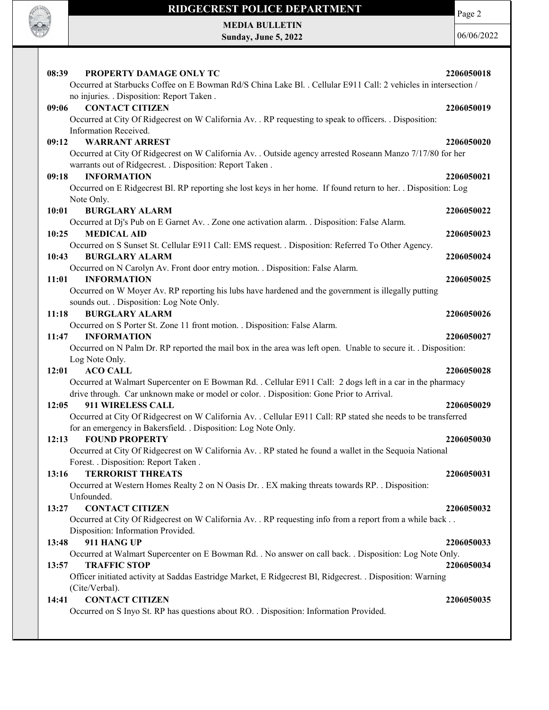

Page 2

MEDIA BULLETIN Sunday, June 5, 2022

| PROPERTY DAMAGE ONLY TC<br>08:39<br>Occurred at Starbucks Coffee on E Bowman Rd/S China Lake Bl. . Cellular E911 Call: 2 vehicles in intersection /<br>no injuries. . Disposition: Report Taken.                                  | 2206050018 |
|-----------------------------------------------------------------------------------------------------------------------------------------------------------------------------------------------------------------------------------|------------|
| 09:06<br><b>CONTACT CITIZEN</b><br>Occurred at City Of Ridgecrest on W California Av. . RP requesting to speak to officers. . Disposition:                                                                                        | 2206050019 |
| Information Received.<br>09:12<br><b>WARRANT ARREST</b><br>Occurred at City Of Ridgecrest on W California Av. . Outside agency arrested Roseann Manzo 7/17/80 for her<br>warrants out of Ridgecrest. . Disposition: Report Taken. | 2206050020 |
| <b>INFORMATION</b><br>09:18<br>Occurred on E Ridgecrest Bl. RP reporting she lost keys in her home. If found return to her. . Disposition: Log                                                                                    | 2206050021 |
| Note Only.                                                                                                                                                                                                                        |            |
| 10:01<br><b>BURGLARY ALARM</b>                                                                                                                                                                                                    | 2206050022 |
| Occurred at Dj's Pub on E Garnet Av. . Zone one activation alarm. . Disposition: False Alarm.<br>10:25<br><b>MEDICAL AID</b>                                                                                                      | 2206050023 |
| Occurred on S Sunset St. Cellular E911 Call: EMS request. . Disposition: Referred To Other Agency.                                                                                                                                |            |
| 10:43<br><b>BURGLARY ALARM</b>                                                                                                                                                                                                    | 2206050024 |
| Occurred on N Carolyn Av. Front door entry motion. . Disposition: False Alarm.                                                                                                                                                    |            |
| 11:01<br><b>INFORMATION</b>                                                                                                                                                                                                       | 2206050025 |
| Occurred on W Moyer Av. RP reporting his lubs have hardened and the government is illegally putting                                                                                                                               |            |
| sounds out. . Disposition: Log Note Only.                                                                                                                                                                                         |            |
| <b>BURGLARY ALARM</b><br>11:18<br>Occurred on S Porter St. Zone 11 front motion. . Disposition: False Alarm.                                                                                                                      | 2206050026 |
| <b>INFORMATION</b><br>11:47                                                                                                                                                                                                       | 2206050027 |
| Occurred on N Palm Dr. RP reported the mail box in the area was left open. Unable to secure it. . Disposition:                                                                                                                    |            |
| Log Note Only.                                                                                                                                                                                                                    |            |
| 12:01<br><b>ACO CALL</b>                                                                                                                                                                                                          | 2206050028 |
| Occurred at Walmart Supercenter on E Bowman Rd. . Cellular E911 Call: 2 dogs left in a car in the pharmacy                                                                                                                        |            |
| drive through. Car unknown make or model or color. . Disposition: Gone Prior to Arrival.                                                                                                                                          |            |
| 911 WIRELESS CALL<br>12:05                                                                                                                                                                                                        | 2206050029 |
| Occurred at City Of Ridgecrest on W California Av. . Cellular E911 Call: RP stated she needs to be transferred                                                                                                                    |            |
| for an emergency in Bakersfield. . Disposition: Log Note Only.<br><b>FOUND PROPERTY</b><br>12:13                                                                                                                                  | 2206050030 |
| Occurred at City Of Ridgecrest on W California Av. . RP stated he found a wallet in the Sequoia National                                                                                                                          |            |
| Forest. . Disposition: Report Taken .                                                                                                                                                                                             |            |
| <b>TERRORIST THREATS</b><br>13:16                                                                                                                                                                                                 | 2206050031 |
| Occurred at Western Homes Realty 2 on N Oasis Dr. . EX making threats towards RP. . Disposition:                                                                                                                                  |            |
| Unfounded.                                                                                                                                                                                                                        |            |
| <b>CONTACT CITIZEN</b><br>13:27                                                                                                                                                                                                   | 2206050032 |
| Occurred at City Of Ridgecrest on W California Av. . RP requesting info from a report from a while back<br>Disposition: Information Provided.                                                                                     |            |
| 911 HANG UP<br>13:48                                                                                                                                                                                                              | 2206050033 |
| Occurred at Walmart Supercenter on E Bowman Rd. . No answer on call back. . Disposition: Log Note Only.                                                                                                                           |            |
| <b>TRAFFIC STOP</b><br>13:57<br>Officer initiated activity at Saddas Eastridge Market, E Ridgecrest Bl, Ridgecrest. . Disposition: Warning                                                                                        | 2206050034 |
| (Cite/Verbal).                                                                                                                                                                                                                    |            |
| <b>CONTACT CITIZEN</b><br>14:41                                                                                                                                                                                                   | 2206050035 |
| Occurred on S Inyo St. RP has questions about RO. . Disposition: Information Provided.                                                                                                                                            |            |
|                                                                                                                                                                                                                                   |            |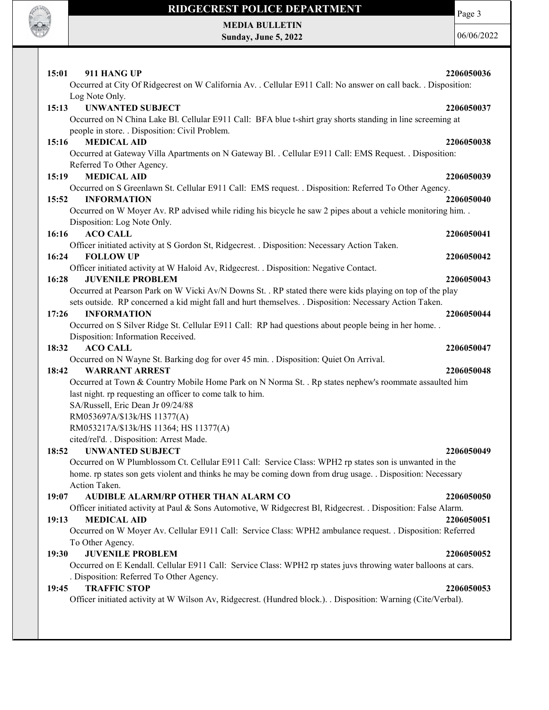

Page 3

MEDIA BULLETIN Sunday, June 5, 2022

| 15:01<br>911 HANG UP<br>Occurred at City Of Ridgecrest on W California Av. . Cellular E911 Call: No answer on call back. . Disposition:                                                                              | 2206050036 |
|----------------------------------------------------------------------------------------------------------------------------------------------------------------------------------------------------------------------|------------|
| Log Note Only.                                                                                                                                                                                                       |            |
| 15:13<br><b>UNWANTED SUBJECT</b>                                                                                                                                                                                     | 2206050037 |
| Occurred on N China Lake Bl. Cellular E911 Call: BFA blue t-shirt gray shorts standing in line screeming at                                                                                                          |            |
| people in store. . Disposition: Civil Problem.<br><b>MEDICAL AID</b>                                                                                                                                                 |            |
| 15:16<br>Occurred at Gateway Villa Apartments on N Gateway Bl. . Cellular E911 Call: EMS Request. . Disposition:                                                                                                     | 2206050038 |
| Referred To Other Agency.                                                                                                                                                                                            |            |
| <b>MEDICAL AID</b><br>15:19                                                                                                                                                                                          | 2206050039 |
| Occurred on S Greenlawn St. Cellular E911 Call: EMS request. . Disposition: Referred To Other Agency.                                                                                                                |            |
| 15:52<br><b>INFORMATION</b>                                                                                                                                                                                          | 2206050040 |
| Occurred on W Moyer Av. RP advised while riding his bicycle he saw 2 pipes about a vehicle monitoring him. .                                                                                                         |            |
| Disposition: Log Note Only.                                                                                                                                                                                          |            |
| 16:16<br><b>ACO CALL</b>                                                                                                                                                                                             | 2206050041 |
| Officer initiated activity at S Gordon St, Ridgecrest. . Disposition: Necessary Action Taken.                                                                                                                        |            |
| <b>FOLLOW UP</b><br>16:24                                                                                                                                                                                            | 2206050042 |
| Officer initiated activity at W Haloid Av, Ridgecrest. . Disposition: Negative Contact.                                                                                                                              |            |
| 16:28<br><b>JUVENILE PROBLEM</b>                                                                                                                                                                                     | 2206050043 |
| Occurred at Pearson Park on W Vicki Av/N Downs St. . RP stated there were kids playing on top of the play<br>sets outside. RP concerned a kid might fall and hurt themselves. . Disposition: Necessary Action Taken. |            |
| <b>INFORMATION</b><br>17:26                                                                                                                                                                                          | 2206050044 |
| Occurred on S Silver Ridge St. Cellular E911 Call: RP had questions about people being in her home                                                                                                                   |            |
| Disposition: Information Received.                                                                                                                                                                                   |            |
| <b>ACO CALL</b><br>18:32                                                                                                                                                                                             | 2206050047 |
| Occurred on N Wayne St. Barking dog for over 45 min. . Disposition: Quiet On Arrival.                                                                                                                                |            |
| 18:42<br><b>WARRANT ARREST</b>                                                                                                                                                                                       | 2206050048 |
| Occurred at Town & Country Mobile Home Park on N Norma St. . Rp states nephew's roommate assaulted him                                                                                                               |            |
| last night. rp requesting an officer to come talk to him.                                                                                                                                                            |            |
| SA/Russell, Eric Dean Jr 09/24/88                                                                                                                                                                                    |            |
| RM053697A/\$13k/HS 11377(A)<br>RM053217A/\$13k/HS 11364; HS 11377(A)                                                                                                                                                 |            |
| cited/rel'd. . Disposition: Arrest Made.                                                                                                                                                                             |            |
| <b>UNWANTED SUBJECT</b><br>18:52                                                                                                                                                                                     | 2206050049 |
| Occurred on W Plumblossom Ct. Cellular E911 Call: Service Class: WPH2 rp states son is unwanted in the                                                                                                               |            |
| home. rp states son gets violent and thinks he may be coming down from drug usage. . Disposition: Necessary                                                                                                          |            |
| Action Taken.                                                                                                                                                                                                        |            |
| AUDIBLE ALARM/RP OTHER THAN ALARM CO<br>19:07                                                                                                                                                                        | 2206050050 |
| Officer initiated activity at Paul & Sons Automotive, W Ridgecrest Bl, Ridgecrest. . Disposition: False Alarm.                                                                                                       |            |
| 19:13<br><b>MEDICAL AID</b>                                                                                                                                                                                          | 2206050051 |
| Occurred on W Moyer Av. Cellular E911 Call: Service Class: WPH2 ambulance request. . Disposition: Referred                                                                                                           |            |
| To Other Agency.                                                                                                                                                                                                     |            |
| <b>JUVENILE PROBLEM</b><br>19:30                                                                                                                                                                                     | 2206050052 |
| Occurred on E Kendall. Cellular E911 Call: Service Class: WPH2 rp states juvs throwing water balloons at cars.<br>. Disposition: Referred To Other Agency.                                                           |            |
| <b>TRAFFIC STOP</b><br>19:45                                                                                                                                                                                         | 2206050053 |
| Officer initiated activity at W Wilson Av, Ridgecrest. (Hundred block.). . Disposition: Warning (Cite/Verbal).                                                                                                       |            |
|                                                                                                                                                                                                                      |            |
|                                                                                                                                                                                                                      |            |
|                                                                                                                                                                                                                      |            |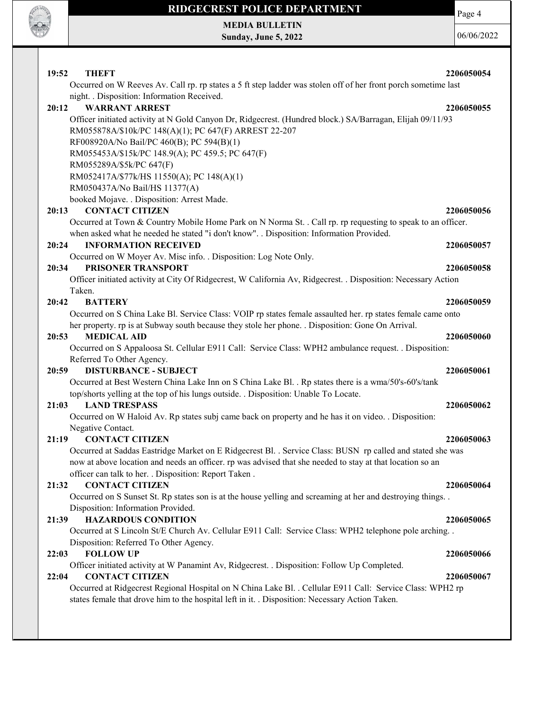

MEDIA BULLETIN Sunday, June 5, 2022 Page 4

| 19:52 | <b>THEFT</b><br>Occurred on W Reeves Av. Call rp. rp states a 5 ft step ladder was stolen off of her front porch sometime last                                                                               | 2206050054 |
|-------|--------------------------------------------------------------------------------------------------------------------------------------------------------------------------------------------------------------|------------|
|       | night. . Disposition: Information Received.                                                                                                                                                                  |            |
| 20:12 | <b>WARRANT ARREST</b>                                                                                                                                                                                        | 2206050055 |
|       | Officer initiated activity at N Gold Canyon Dr, Ridgecrest. (Hundred block.) SA/Barragan, Elijah 09/11/93<br>RM055878A/\$10k/PC 148(A)(1); PC 647(F) ARREST 22-207                                           |            |
|       | RF008920A/No Bail/PC 460(B); PC 594(B)(1)                                                                                                                                                                    |            |
|       | RM055453A/\$15k/PC 148.9(A); PC 459.5; PC 647(F)                                                                                                                                                             |            |
|       | RM055289A/\$5k/PC 647(F)                                                                                                                                                                                     |            |
|       | RM052417A/\$77k/HS 11550(A); PC 148(A)(1)                                                                                                                                                                    |            |
|       | RM050437A/No Bail/HS 11377(A)                                                                                                                                                                                |            |
|       | booked Mojave. . Disposition: Arrest Made.                                                                                                                                                                   |            |
| 20:13 | <b>CONTACT CITIZEN</b>                                                                                                                                                                                       | 2206050056 |
|       | Occurred at Town & Country Mobile Home Park on N Norma St. . Call rp. rp requesting to speak to an officer.<br>when asked what he needed he stated "i don't know". . Disposition: Information Provided.      |            |
| 20:24 | <b>INFORMATION RECEIVED</b>                                                                                                                                                                                  | 2206050057 |
|       | Occurred on W Moyer Av. Misc info. . Disposition: Log Note Only.                                                                                                                                             |            |
| 20:34 | PRISONER TRANSPORT                                                                                                                                                                                           | 2206050058 |
|       | Officer initiated activity at City Of Ridgecrest, W California Av, Ridgecrest. . Disposition: Necessary Action                                                                                               |            |
|       | Taken.                                                                                                                                                                                                       |            |
| 20:42 | <b>BATTERY</b>                                                                                                                                                                                               | 2206050059 |
|       | Occurred on S China Lake Bl. Service Class: VOIP rp states female assaulted her. rp states female came onto                                                                                                  |            |
|       | her property. rp is at Subway south because they stole her phone. . Disposition: Gone On Arrival.                                                                                                            |            |
| 20:53 | <b>MEDICAL AID</b>                                                                                                                                                                                           | 2206050060 |
|       | Occurred on S Appaloosa St. Cellular E911 Call: Service Class: WPH2 ambulance request. . Disposition:                                                                                                        |            |
|       | Referred To Other Agency.                                                                                                                                                                                    |            |
| 20:59 | <b>DISTURBANCE - SUBJECT</b>                                                                                                                                                                                 | 2206050061 |
|       | Occurred at Best Western China Lake Inn on S China Lake Bl. . Rp states there is a wma/50's-60's/tank                                                                                                        |            |
|       | top/shorts yelling at the top of his lungs outside. . Disposition: Unable To Locate.                                                                                                                         |            |
| 21:03 | <b>LAND TRESPASS</b>                                                                                                                                                                                         | 2206050062 |
|       | Occurred on W Haloid Av. Rp states subj came back on property and he has it on video. . Disposition:                                                                                                         |            |
|       | Negative Contact.                                                                                                                                                                                            |            |
| 21:19 | <b>CONTACT CITIZEN</b>                                                                                                                                                                                       | 2206050063 |
|       | Occurred at Saddas Eastridge Market on E Ridgecrest Bl. . Service Class: BUSN rp called and stated she was                                                                                                   |            |
|       | now at above location and needs an officer. rp was advised that she needed to stay at that location so an                                                                                                    |            |
|       | officer can talk to her. . Disposition: Report Taken.                                                                                                                                                        |            |
| 21:32 | <b>CONTACT CITIZEN</b>                                                                                                                                                                                       | 2206050064 |
|       | Occurred on S Sunset St. Rp states son is at the house yelling and screaming at her and destroying things                                                                                                    |            |
|       | Disposition: Information Provided.                                                                                                                                                                           |            |
| 21:39 | <b>HAZARDOUS CONDITION</b>                                                                                                                                                                                   | 2206050065 |
|       | Occurred at S Lincoln St/E Church Av. Cellular E911 Call: Service Class: WPH2 telephone pole arching                                                                                                         |            |
|       | Disposition: Referred To Other Agency.                                                                                                                                                                       |            |
| 22:03 | <b>FOLLOW UP</b>                                                                                                                                                                                             | 2206050066 |
|       | Officer initiated activity at W Panamint Av, Ridgecrest. . Disposition: Follow Up Completed.                                                                                                                 |            |
| 22:04 | <b>CONTACT CITIZEN</b>                                                                                                                                                                                       | 2206050067 |
|       | Occurred at Ridgecrest Regional Hospital on N China Lake Bl. . Cellular E911 Call: Service Class: WPH2 rp<br>states female that drove him to the hospital left in it. . Disposition: Necessary Action Taken. |            |